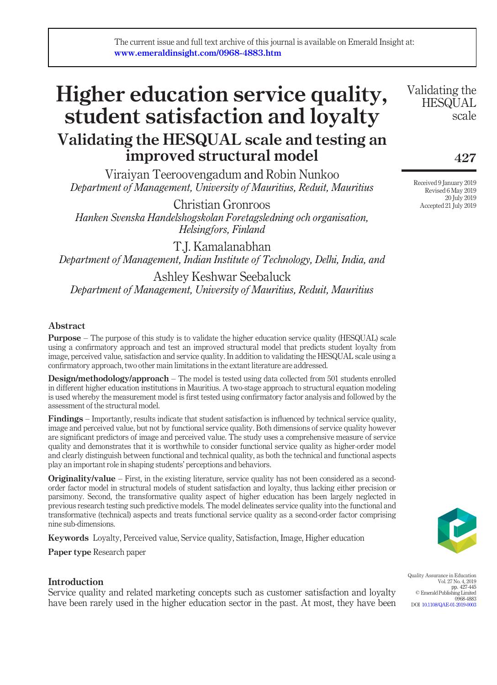# Higher education service quality, student satisfaction and loyalty Validating the HESQUAL scale and testing an improved structural model

Viraiyan Teeroovengadum and Robin Nunkoo *Department of Management, University of Mauritius, Reduit, Mauritius*

Christian Gronroos *Hanken Svenska Handelshogskolan Foretagsledning och organisation, Helsingfors, Finland*

T.J. Kamalanabhan *Department of Management, Indian Institute of Technology, Delhi, India, and*

Ashley Keshwar Seebaluck *Department of Management, University of Mauritius, Reduit, Mauritius*

## Abstract

Purpose – The purpose of this study is to validate the higher education service quality (HESQUAL) scale using a confirmatory approach and test an improved structural model that predicts student loyalty from image, perceived value, satisfaction and service quality. In addition to validating the HESQUAL scale using a confirmatory approach, two other main limitations in the extant literature are addressed.

Design/methodology/approach – The model is tested using data collected from 501 students enrolled in different higher education institutions in Mauritius. A two-stage approach to structural equation modeling is used whereby the measurement model is first tested using confirmatory factor analysis and followed by the assessment of the structural model.

Findings – Importantly, results indicate that student satisfaction is influenced by technical service quality, image and perceived value, but not by functional service quality. Both dimensions of service quality however are significant predictors of image and perceived value. The study uses a comprehensive measure of service quality and demonstrates that it is worthwhile to consider functional service quality as higher-order model and clearly distinguish between functional and technical quality, as both the technical and functional aspects play an important role in shaping students' perceptions and behaviors.

Originality/value – First, in the existing literature, service quality has not been considered as a secondorder factor model in structural models of student satisfaction and loyalty, thus lacking either precision or parsimony. Second, the transformative quality aspect of higher education has been largely neglected in previous research testing such predictive models. The model delineates service quality into the functional and transformative (technical) aspects and treats functional service quality as a second-order factor comprising nine sub-dimensions.

Keywords Loyalty, Perceived value, Service quality, Satisfaction, Image, Higher education

Paper type Research paper

## Introduction

Service quality and related marketing concepts such as customer satisfaction and loyalty have been rarely used in the higher education sector in the past. At most, they have been

Validating the **HESQUAL** scale

427

Received 9 January 2019 Revised 6 May 2019 20 July 2019 Accepted 21 July 2019



Quality Assurance in Education Vol. 27 No. 4, 2019 pp. 427-445 © Emerald Publishing Limited 0968-4883 DOI 10.1108/QAE-01-2019-0003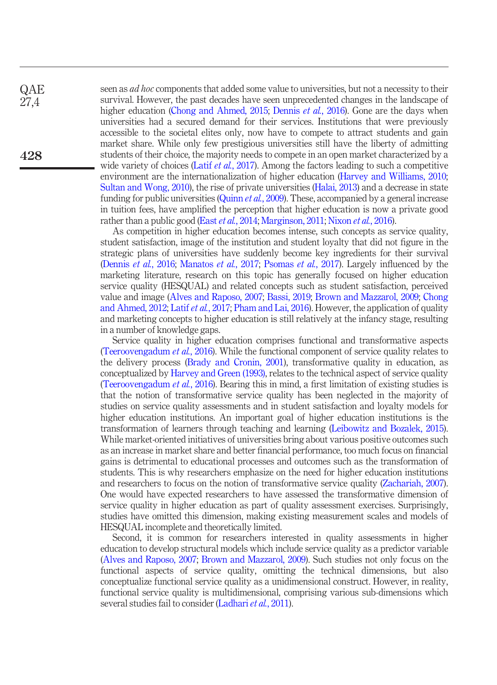**QAE** 27,4

428

seen as *ad hoc* components that added some value to universities, but not a necessity to their survival. However, the past decades have seen unprecedented changes in the landscape of higher education (Chong and Ahmed, 2015; Dennis *et al.*, 2016). Gone are the days when universities had a secured demand for their services. Institutions that were previously accessible to the societal elites only, now have to compete to attract students and gain market share. While only few prestigious universities still have the liberty of admitting students of their choice, the majority needs to compete in an open market characterized by a wide variety of choices (Latif *et al.*, 2017). Among the factors leading to such a competitive environment are the internationalization of higher education (Harvey and Williams, 2010; Sultan and Wong, 2010), the rise of private universities (Halai, 2013) and a decrease in state funding for public universities (Quinn *et al.*, 2009). These, accompanied by a general increase in tuition fees, have amplified the perception that higher education is now a private good rather than a public good (East *et al.*, 2014; Marginson, 2011; Nixon *et al.*, 2016).

As competition in higher education becomes intense, such concepts as service quality, student satisfaction, image of the institution and student loyalty that did not figure in the strategic plans of universities have suddenly become key ingredients for their survival (Dennis *et al.*, 2016; Manatos *et al.*, 2017; Psomas *et al.*, 2017). Largely influenced by the marketing literature, research on this topic has generally focused on higher education service quality (HESQUAL) and related concepts such as student satisfaction, perceived value and image (Alves and Raposo, 2007; Bassi, 2019; Brown and Mazzarol, 2009; Chong and Ahmed, 2012; Latif *et al.*, 2017; Pham and Lai, 2016). However, the application of quality and marketing concepts to higher education is still relatively at the infancy stage, resulting in a number of knowledge gaps.

Service quality in higher education comprises functional and transformative aspects (Teeroovengadum *et al.*, 2016). While the functional component of service quality relates to the delivery process (Brady and Cronin, 2001), transformative quality in education, as conceptualized by Harvey and Green (1993), relates to the technical aspect of service quality (Teeroovengadum *et al.*, 2016). Bearing this in mind, a first limitation of existing studies is that the notion of transformative service quality has been neglected in the majority of studies on service quality assessments and in student satisfaction and loyalty models for higher education institutions. An important goal of higher education institutions is the transformation of learners through teaching and learning (Leibowitz and Bozalek, 2015). While market-oriented initiatives of universities bring about various positive outcomes such as an increase in market share and better financial performance, too much focus on financial gains is detrimental to educational processes and outcomes such as the transformation of students. This is why researchers emphasize on the need for higher education institutions and researchers to focus on the notion of transformative service quality (Zachariah, 2007). One would have expected researchers to have assessed the transformative dimension of service quality in higher education as part of quality assessment exercises. Surprisingly, studies have omitted this dimension, making existing measurement scales and models of HESQUAL incomplete and theoretically limited.

Second, it is common for researchers interested in quality assessments in higher education to develop structural models which include service quality as a predictor variable (Alves and Raposo, 2007; Brown and Mazzarol, 2009). Such studies not only focus on the functional aspects of service quality, omitting the technical dimensions, but also conceptualize functional service quality as a unidimensional construct. However, in reality, functional service quality is multidimensional, comprising various sub-dimensions which several studies fail to consider (Ladhari *et al.*, 2011).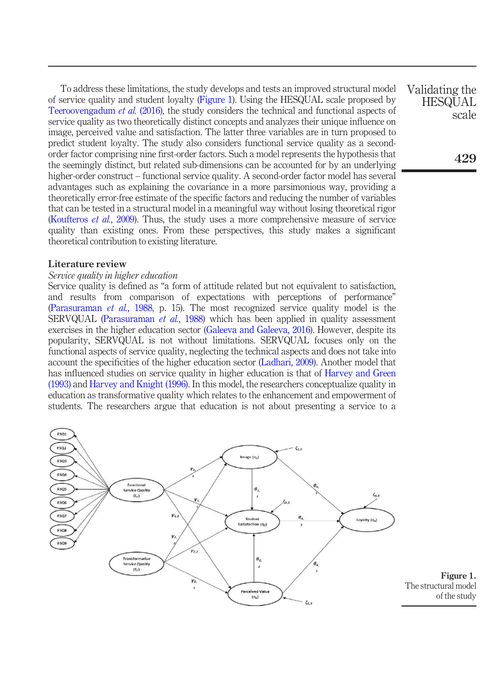To address these limitations, the study develops and tests an improved structural model of service quality and student loyalty (Figure 1). Using the HESQUAL scale proposed by Teeroovengadum *et al.* (2016), the study considers the technical and functional aspects of service quality as two theoretically distinct concepts and analyzes their unique influence on image, perceived value and satisfaction. The latter three variables are in turn proposed to predict student loyalty. The study also considers functional service quality as a secondorder factor comprising nine first-order factors. Such a model represents the hypothesis that the seemingly distinct, but related sub-dimensions can be accounted for by an underlying higher-order construct – functional service quality. A second-order factor model has several advantages such as explaining the covariance in a more parsimonious way, providing a theoretically error-free estimate of the specific factors and reducing the number of variables that can be tested in a structural model in a meaningful way without losing theoretical rigor (Koufteros *et al.*, 2009). Thus, the study uses a more comprehensive measure of service quality than existing ones. From these perspectives, this study makes a significant theoretical contribution to existing literature.

#### Literature review

#### *Service quality in higher education*

Service quality is defined as "a form of attitude related but not equivalent to satisfaction, and results from comparison of expectations with perceptions of performance" (Parasuraman *et al.*, 1988, p. 15). The most recognized service quality model is the SERVQUAL (Parasuraman *et al.*, 1988) which has been applied in quality assessment exercises in the higher education sector (Galeeva and Galeeva, 2016). However, despite its popularity, SERVQUAL is not without limitations. SERVQUAL focuses only on the functional aspects of service quality, neglecting the technical aspects and does not take into account the specificities of the higher education sector (Ladhari, 2009). Another model that has influenced studies on service quality in higher education is that of Harvey and Green (1993) and Harvey and Knight (1996). In this model, the researchers conceptualize quality in education as transformative quality which relates to the enhancement and empowerment of students. The researchers argue that education is not about presenting a service to a



Validating the **HESQUAL** scale

429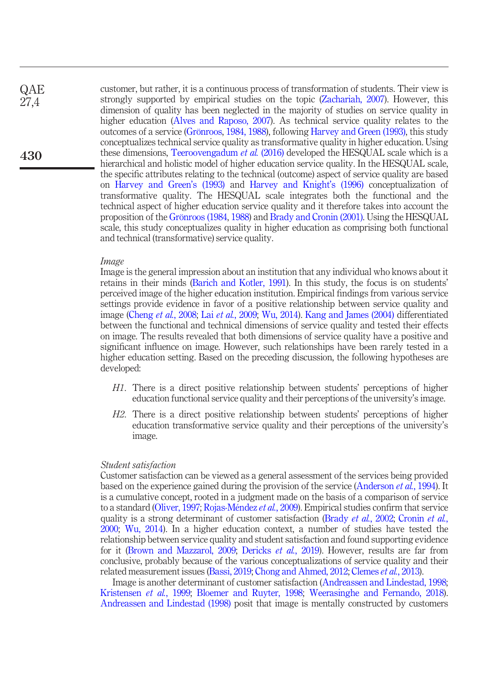customer, but rather, it is a continuous process of transformation of students. Their view is strongly supported by empirical studies on the topic (Zachariah, 2007). However, this dimension of quality has been neglected in the majority of studies on service quality in higher education (Alves and Raposo, 2007). As technical service quality relates to the outcomes of a service (Grönroos, 1984, 1988), following Harvey and Green (1993), this study conceptualizes technical service quality as transformative quality in higher education. Using these dimensions, Teeroovengadum *et al.* (2016) developed the HESQUAL scale which is a hierarchical and holistic model of higher education service quality. In the HESQUAL scale, the specific attributes relating to the technical (outcome) aspect of service quality are based on Harvey and Green's (1993) and Harvey and Knight's (1996) conceptualization of transformative quality. The HESQUAL scale integrates both the functional and the technical aspect of higher education service quality and it therefore takes into account the proposition of the Grönroos (1984, 1988) and Brady and Cronin (2001). Using the HESQUAL scale, this study conceptualizes quality in higher education as comprising both functional and technical (transformative) service quality. **QAE** 430

#### *Image*

27,4

Image is the general impression about an institution that any individual who knows about it retains in their minds (Barich and Kotler, 1991). In this study, the focus is on students' perceived image of the higher education institution. Empirical findings from various service settings provide evidence in favor of a positive relationship between service quality and image (Cheng *et al.*, 2008; Lai *et al.*, 2009; Wu, 2014). Kang and James (2004) differentiated between the functional and technical dimensions of service quality and tested their effects on image. The results revealed that both dimensions of service quality have a positive and significant influence on image. However, such relationships have been rarely tested in a higher education setting. Based on the preceding discussion, the following hypotheses are developed:

- *H1*. There is a direct positive relationship between students' perceptions of higher education functional service quality and their perceptions of the university's image.
- *H2*. There is a direct positive relationship between students' perceptions of higher education transformative service quality and their perceptions of the university's image.

#### *Student satisfaction*

Customer satisfaction can be viewed as a general assessment of the services being provided based on the experience gained during the provision of the service (Anderson *et al.*, 1994). It is a cumulative concept, rooted in a judgment made on the basis of a comparison of service to a standard (Oliver, 1997; Rojas-Méndez *et al.*, 2009). Empirical studies confirm that service quality is a strong determinant of customer satisfaction (Brady *et al.*, 2002; Cronin *et al.*, 2000; Wu, 2014). In a higher education context, a number of studies have tested the relationship between service quality and student satisfaction and found supporting evidence for it (Brown and Mazzarol, 2009; Dericks *et al.*, 2019). However, results are far from conclusive, probably because of the various conceptualizations of service quality and their related measurement issues (Bassi, 2019; Chong and Ahmed, 2012; Clemes *et al.*, 2013).

Image is another determinant of customer satisfaction (Andreassen and Lindestad, 1998; Kristensen *et al.*, 1999; Bloemer and Ruyter, 1998; Weerasinghe and Fernando, 2018). Andreassen and Lindestad (1998) posit that image is mentally constructed by customers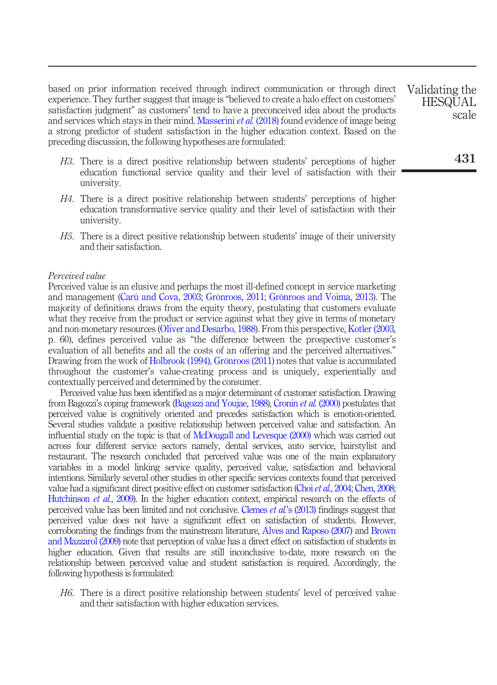based on prior information received through indirect communication or through direct experience. They further suggest that image is "believed to create a halo effect on customers' satisfaction judgment" as customers' tend to have a preconceived idea about the products and services which stays in their mind. Masserini *et al.* (2018) found evidence of image being a strong predictor of student satisfaction in the higher education context. Based on the preceding discussion, the following hypotheses are formulated:

- *H3*. There is a direct positive relationship between students' perceptions of higher education functional service quality and their level of satisfaction with their university.
- *H4*. There is a direct positive relationship between students' perceptions of higher education transformative service quality and their level of satisfaction with their university.
- *H5*. There is a direct positive relationship between students' image of their university and their satisfaction.

#### *Perceived value*

Perceived value is an elusive and perhaps the most ill-defined concept in service marketing and management (Carú and Cova, 2003; Grönroos, 2011; Grönroos and Voima, 2013). The majority of definitions draws from the equity theory, postulating that customers evaluate what they receive from the product or service against what they give in terms of monetary and non-monetary resources (Oliver and Desarbo, 1988). From this perspective, Kotler (2003, p. 60), defines perceived value as "the difference between the prospective customer's evaluation of all benefits and all the costs of an offering and the perceived alternatives." Drawing from the work of Holbrook (1994), Grönroos (2011) notes that value is accumulated throughout the customer's value-creating process and is uniquely, experientially and contextually perceived and determined by the consumer.

Perceived value has been identified as a major determinant of customer satisfaction. Drawing from Bagozzi's coping framework (Bagozzi and Youjae, 1988), Cronin *et al.* (2000) postulates that perceived value is cognitively oriented and precedes satisfaction which is emotion-oriented. Several studies validate a positive relationship between perceived value and satisfaction. An influential study on the topic is that of McDougall and Levesque (2000) which was carried out across four different service sectors namely, dental services, auto service, hairstylist and restaurant. The research concluded that perceived value was one of the main explanatory variables in a model linking service quality, perceived value, satisfaction and behavioral intentions. Similarly several other studies in other specific services contexts found that perceived value had a significant direct positive effect on customer satisfaction (Choi *et al.*, 2004; Chen, 2008; Hutchinson *et al.*, 2009). In the higher education context, empirical research on the effects of perceived value has been limited and not conclusive. Clemes *et al.*'s (2013) findings suggest that perceived value does not have a significant effect on satisfaction of students. However, corroborating the findings from the mainstream literature, Alves and Raposo (2007) and Brown and Mazzarol (2009) note that perception of value has a direct effect on satisfaction of students in higher education. Given that results are still inconclusive to-date, more research on the relationship between perceived value and student satisfaction is required. Accordingly, the following hypothesis is formulated:

*H6*. There is a direct positive relationship between students' level of perceived value and their satisfaction with higher education services.

Validating the **HESQUAL** scale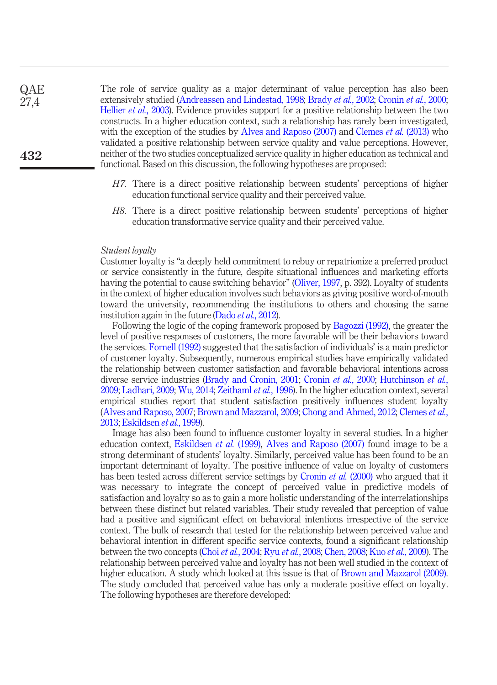The role of service quality as a major determinant of value perception has also been extensively studied (Andreassen and Lindestad, 1998; Brady *et al.*, 2002; Cronin *et al.*, 2000; Hellier *et al.*, 2003). Evidence provides support for a positive relationship between the two constructs. In a higher education context, such a relationship has rarely been investigated, with the exception of the studies by Alves and Raposo (2007) and Clemes *et al.* (2013) who validated a positive relationship between service quality and value perceptions. However, neither of the two studies conceptualized service quality in higher education as technical and functional. Based on this discussion, the following hypotheses are proposed: **QAE** 27,4

- *H7*. There is a direct positive relationship between students' perceptions of higher education functional service quality and their perceived value.
- *H8*. There is a direct positive relationship between students' perceptions of higher education transformative service quality and their perceived value.

#### *Student loyalty*

Customer loyalty is "a deeply held commitment to rebuy or repatrionize a preferred product or service consistently in the future, despite situational influences and marketing efforts having the potential to cause switching behavior" (Oliver, 1997, p. 392). Loyalty of students in the context of higher education involves such behaviors as giving positive word-of-mouth toward the university, recommending the institutions to others and choosing the same institution again in the future (Dado *et al.*, 2012).

Following the logic of the coping framework proposed by Bagozzi (1992), the greater the level of positive responses of customers, the more favorable will be their behaviors toward the services. Fornell (1992) suggested that the satisfaction of individuals' is a main predictor of customer loyalty. Subsequently, numerous empirical studies have empirically validated the relationship between customer satisfaction and favorable behavioral intentions across diverse service industries (Brady and Cronin, 2001; Cronin *et al.*, 2000; Hutchinson *et al.*, 2009; Ladhari, 2009; Wu, 2014; Zeithaml *et al.*, 1996). In the higher education context, several empirical studies report that student satisfaction positively influences student loyalty (Alves and Raposo, 2007; Brown and Mazzarol, 2009; Chong and Ahmed, 2012; Clemes *et al.*, 2013; Eskildsen *et al.*, 1999).

Image has also been found to influence customer loyalty in several studies. In a higher education context, Eskildsen *et al.* (1999), Alves and Raposo (2007) found image to be a strong determinant of students' loyalty. Similarly, perceived value has been found to be an important determinant of loyalty. The positive influence of value on loyalty of customers has been tested across different service settings by Cronin *et al.* (2000) who argued that it was necessary to integrate the concept of perceived value in predictive models of satisfaction and loyalty so as to gain a more holistic understanding of the interrelationships between these distinct but related variables. Their study revealed that perception of value had a positive and significant effect on behavioral intentions irrespective of the service context. The bulk of research that tested for the relationship between perceived value and behavioral intention in different specific service contexts, found a significant relationship between the two concepts (Choi *et al.*, 2004; Ryu *et al.*, 2008; Chen, 2008; Kuo *et al.*, 2009). The relationship between perceived value and loyalty has not been well studied in the context of higher education. A study which looked at this issue is that of Brown and Mazzarol (2009). The study concluded that perceived value has only a moderate positive effect on loyalty. The following hypotheses are therefore developed: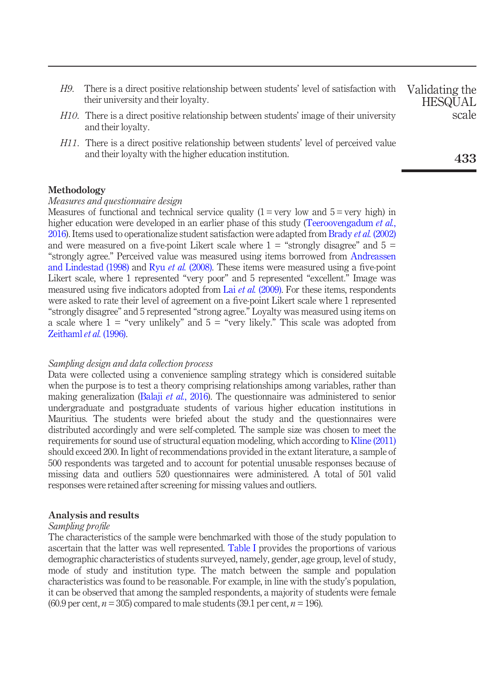- *H9*. There is a direct positive relationship between students' level of satisfaction with their university and their loyalty.
- *H10*. There is a direct positive relationship between students' image of their university and their loyalty.
- *H11*. There is a direct positive relationship between students' level of perceived value and their loyalty with the higher education institution.

## Methodology

#### *Measures and questionnaire design*

Measures of functional and technical service quality  $(1 = v)$  low and  $5 = v$ ery high) in higher education were developed in an earlier phase of this study (Teeroovengadum *et al.*, 2016). Items used to operationalize student satisfaction were adapted from Brady *et al.* (2002) and were measured on a five-point Likert scale where  $1 =$  "strongly disagree" and  $5 =$ "strongly agree." Perceived value was measured using items borrowed from Andreassen and Lindestad (1998) and Ryu *et al.* (2008). These items were measured using a five-point Likert scale, where 1 represented "very poor" and 5 represented "excellent." Image was measured using five indicators adopted from Lai *et al.* (2009). For these items, respondents were asked to rate their level of agreement on a five-point Likert scale where 1 represented "strongly disagree" and 5 represented "strong agree." Loyalty was measured using items on a scale where  $1 =$  "very unlikely" and  $5 =$  "very likely." This scale was adopted from Zeithaml *et al.* (1996).

#### *Sampling design and data collection process*

Data were collected using a convenience sampling strategy which is considered suitable when the purpose is to test a theory comprising relationships among variables, rather than making generalization (Balaji *et al.*, 2016). The questionnaire was administered to senior undergraduate and postgraduate students of various higher education institutions in Mauritius. The students were briefed about the study and the questionnaires were distributed accordingly and were self-completed. The sample size was chosen to meet the requirements for sound use of structural equation modeling, which according to Kline (2011) should exceed 200. In light of recommendations provided in the extant literature, a sample of 500 respondents was targeted and to account for potential unusable responses because of missing data and outliers 520 questionnaires were administered. A total of 501 valid responses were retained after screening for missing values and outliers.

## Analysis and results

#### *Sampling pro*fi*le*

The characteristics of the sample were benchmarked with those of the study population to ascertain that the latter was well represented. Table I provides the proportions of various demographic characteristics of students surveyed, namely, gender, age group, level of study, mode of study and institution type. The match between the sample and population characteristics was found to be reasonable. For example, in line with the study's population, it can be observed that among the sampled respondents, a majority of students were female  $(60.9$  per cent,  $n = 305$ ) compared to male students (39.1 per cent,  $n = 196$ ).

433

Validating the **HESQUAL** scale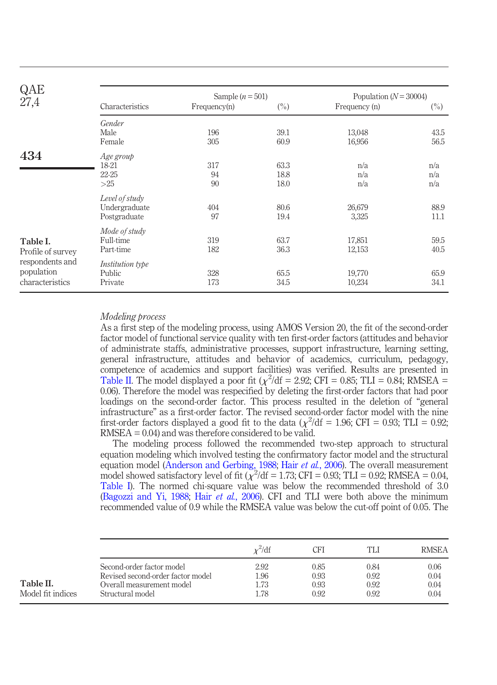| QAE                                              |                                                 | Sample $(n = 501)$ |                      | Population ( $N = 30004$ ) |                   |  |
|--------------------------------------------------|-------------------------------------------------|--------------------|----------------------|----------------------------|-------------------|--|
| 27,4                                             | Characteristics                                 | Frequency(n)       | $(\%)$               | Frequency (n)              | $(\%)$            |  |
|                                                  | Gender<br>Male<br>Female                        | 196<br>305         | 39.1<br>60.9         | 13,048<br>16,956           | 43.5<br>56.5      |  |
| 434                                              | Age group<br>18-21<br>22-25<br>>25              | 317<br>94<br>90    | 63.3<br>18.8<br>18.0 | n/a<br>n/a<br>n/a          | n/a<br>n/a<br>n/a |  |
|                                                  | Level of study<br>Undergraduate<br>Postgraduate | 404<br>97          | 80.6<br>19.4         | 26,679<br>3,325            | 88.9<br>11.1      |  |
| Table I.<br>Profile of survey                    | Mode of study<br>Full-time<br>Part-time         | 319<br>182         | 63.7<br>36.3         | 17,851<br>12,153           | 59.5<br>40.5      |  |
| respondents and<br>population<br>characteristics | <i>Institution type</i><br>Public<br>Private    | 328<br>173         | 65.5<br>34.5         | 19,770<br>10,234           | 65.9<br>34.1      |  |

## *Modeling process*

As a first step of the modeling process, using AMOS Version 20, the fit of the second-order factor model of functional service quality with ten first-order factors (attitudes and behavior of administrate staffs, administrative processes, support infrastructure, learning setting, general infrastructure, attitudes and behavior of academics, curriculum, pedagogy, competence of academics and support facilities) was verified. Results are presented in Table II. The model displayed a poor fit ( $\chi^2$ /df = 2.92; CFI = 0.85; TLI = 0.84; RMSEA = 0.06). Therefore the model was respecified by deleting the first-order factors that had poor loadings on the second-order factor. This process resulted in the deletion of "general infrastructure" as a first-order factor. The revised second-order factor model with the nine first-order factors displayed a good fit to the data ( $\chi^2$ /df = 1.96; CFI = 0.93; TLI = 0.92;  $RMSEA = 0.04$ ) and was therefore considered to be valid.

The modeling process followed the recommended two-step approach to structural equation modeling which involved testing the confirmatory factor model and the structural equation model (Anderson and Gerbing, 1988; Hair *et al.*, 2006). The overall measurement model showed satisfactory level of fit  $(\chi^2/df = 1.73$ ; CFI = 0.93; TLI = 0.92; RMSEA = 0.04, Table I). The normed chi-square value was below the recommended threshold of 3.0 (Bagozzi and Yi, 1988; Hair *et al.*, 2006). CFI and TLI were both above the minimum recommended value of 0.9 while the RMSEA value was below the cut-off point of 0.05. The

|                                |                                                                                                                 | $x^2$ /df                    | CFI                          | TLI                          | <b>RMSEA</b>                 |
|--------------------------------|-----------------------------------------------------------------------------------------------------------------|------------------------------|------------------------------|------------------------------|------------------------------|
| Table II.<br>Model fit indices | Second-order factor model<br>Revised second-order factor model<br>Overall measurement model<br>Structural model | 2.92<br>1.96<br>1.73<br>1.78 | 0.85<br>0.93<br>0.93<br>0.92 | 0.84<br>0.92<br>0.92<br>0.92 | 0.06<br>0.04<br>0.04<br>0.04 |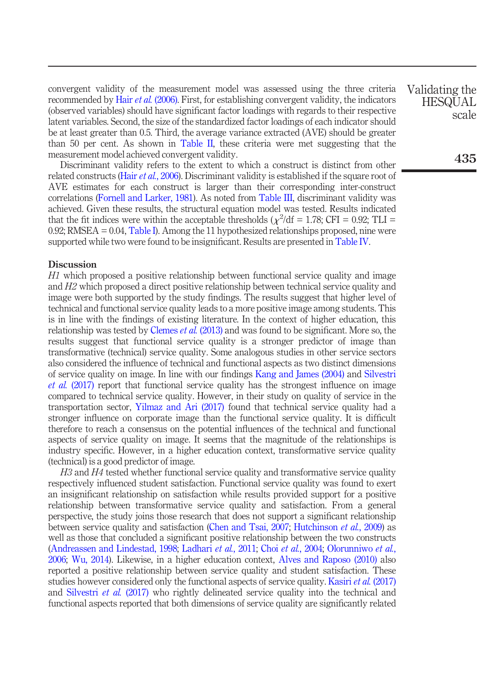convergent validity of the measurement model was assessed using the three criteria recommended by Hair *et al.* (2006). First, for establishing convergent validity, the indicators (observed variables) should have significant factor loadings with regards to their respective latent variables. Second, the size of the standardized factor loadings of each indicator should be at least greater than 0.5. Third, the average variance extracted (AVE) should be greater than 50 per cent. As shown in Table II, these criteria were met suggesting that the measurement model achieved convergent validity.

Discriminant validity refers to the extent to which a construct is distinct from other related constructs (Hair *et al.*, 2006). Discriminant validity is established if the square root of AVE estimates for each construct is larger than their corresponding inter-construct correlations (Fornell and Larker, 1981). As noted from Table III, discriminant validity was achieved. Given these results, the structural equation model was tested. Results indicated that the fit indices were within the acceptable thresholds ( $\chi^2$ /df = 1.78; CFI = 0.92; TLI = 0.92; RMSEA = 0.04, Table I). Among the 11 hypothesized relationships proposed, nine were supported while two were found to be insignificant. Results are presented in Table IV.

#### **Discussion**

*H1* which proposed a positive relationship between functional service quality and image and *H2* which proposed a direct positive relationship between technical service quality and image were both supported by the study findings. The results suggest that higher level of technical and functional service quality leads to a more positive image among students. This is in line with the findings of existing literature. In the context of higher education, this relationship was tested by Clemes *et al.* (2013) and was found to be significant. More so, the results suggest that functional service quality is a stronger predictor of image than transformative (technical) service quality. Some analogous studies in other service sectors also considered the influence of technical and functional aspects as two distinct dimensions of service quality on image. In line with our findings Kang and James (2004) and Silvestri *et al.* (2017) report that functional service quality has the strongest influence on image compared to technical service quality. However, in their study on quality of service in the transportation sector, Yilmaz and Ari (2017) found that technical service quality had a stronger influence on corporate image than the functional service quality. It is difficult therefore to reach a consensus on the potential influences of the technical and functional aspects of service quality on image. It seems that the magnitude of the relationships is industry specific. However, in a higher education context, transformative service quality (technical) is a good predictor of image.

*H3* and *H4* tested whether functional service quality and transformative service quality respectively influenced student satisfaction. Functional service quality was found to exert an insignificant relationship on satisfaction while results provided support for a positive relationship between transformative service quality and satisfaction. From a general perspective, the study joins those research that does not support a significant relationship between service quality and satisfaction (Chen and Tsai, 2007; Hutchinson *et al.*, 2009) as well as those that concluded a significant positive relationship between the two constructs (Andreassen and Lindestad, 1998; Ladhari *et al.*, 2011; Choi *et al.*, 2004; Olorunniwo *et al.*, 2006; Wu, 2014). Likewise, in a higher education context, Alves and Raposo (2010) also reported a positive relationship between service quality and student satisfaction. These studies however considered only the functional aspects of service quality. Kasiri *et al.* (2017) and Silvestri *et al.* (2017) who rightly delineated service quality into the technical and functional aspects reported that both dimensions of service quality are significantly related Validating the **HESQUAL** scale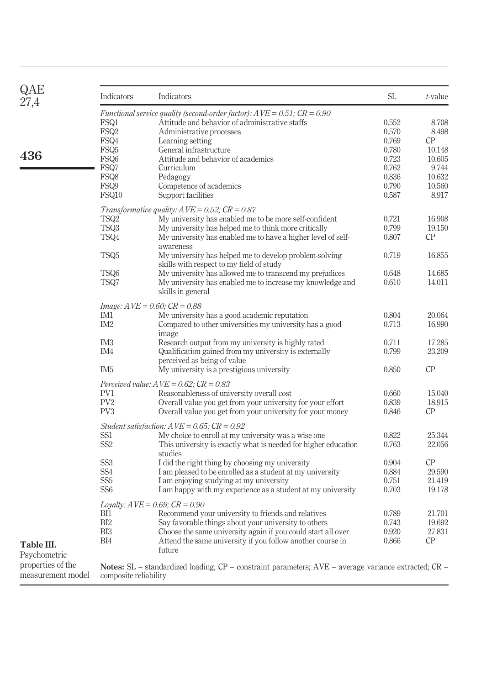| Indicators<br>FSQ1<br>FSQ <sub>2</sub><br>FSQ4<br>FSQ5<br>FSQ6<br>FSQ7<br>FSQ8<br>FSQ9 | Indicators<br>Functional service quality (second-order factor): $AVE = 0.51$ ; $CR = 0.90$<br>Attitude and behavior of administrative staffs<br>Administrative processes<br>Learning setting<br>General infrastructure<br>Attitude and behavior of academics<br>Curriculum | SL<br>0.552<br>0.570<br>0.769<br>0.780<br>0.723                                                                                                                                                                                                                                                                                                                                                                                                                                                                                                                                                                                                 | t-value<br>8.708<br>8.498<br>CP<br>10.148                                                                                       |  |  |  |  |
|----------------------------------------------------------------------------------------|----------------------------------------------------------------------------------------------------------------------------------------------------------------------------------------------------------------------------------------------------------------------------|-------------------------------------------------------------------------------------------------------------------------------------------------------------------------------------------------------------------------------------------------------------------------------------------------------------------------------------------------------------------------------------------------------------------------------------------------------------------------------------------------------------------------------------------------------------------------------------------------------------------------------------------------|---------------------------------------------------------------------------------------------------------------------------------|--|--|--|--|
|                                                                                        |                                                                                                                                                                                                                                                                            |                                                                                                                                                                                                                                                                                                                                                                                                                                                                                                                                                                                                                                                 |                                                                                                                                 |  |  |  |  |
|                                                                                        |                                                                                                                                                                                                                                                                            |                                                                                                                                                                                                                                                                                                                                                                                                                                                                                                                                                                                                                                                 |                                                                                                                                 |  |  |  |  |
|                                                                                        |                                                                                                                                                                                                                                                                            |                                                                                                                                                                                                                                                                                                                                                                                                                                                                                                                                                                                                                                                 |                                                                                                                                 |  |  |  |  |
|                                                                                        |                                                                                                                                                                                                                                                                            |                                                                                                                                                                                                                                                                                                                                                                                                                                                                                                                                                                                                                                                 |                                                                                                                                 |  |  |  |  |
|                                                                                        |                                                                                                                                                                                                                                                                            |                                                                                                                                                                                                                                                                                                                                                                                                                                                                                                                                                                                                                                                 |                                                                                                                                 |  |  |  |  |
|                                                                                        |                                                                                                                                                                                                                                                                            |                                                                                                                                                                                                                                                                                                                                                                                                                                                                                                                                                                                                                                                 |                                                                                                                                 |  |  |  |  |
|                                                                                        |                                                                                                                                                                                                                                                                            |                                                                                                                                                                                                                                                                                                                                                                                                                                                                                                                                                                                                                                                 | 10.605                                                                                                                          |  |  |  |  |
|                                                                                        |                                                                                                                                                                                                                                                                            | 0.762                                                                                                                                                                                                                                                                                                                                                                                                                                                                                                                                                                                                                                           | 9.744                                                                                                                           |  |  |  |  |
|                                                                                        | Pedagogy                                                                                                                                                                                                                                                                   | 0.836                                                                                                                                                                                                                                                                                                                                                                                                                                                                                                                                                                                                                                           | 10.632                                                                                                                          |  |  |  |  |
|                                                                                        |                                                                                                                                                                                                                                                                            | 0.790                                                                                                                                                                                                                                                                                                                                                                                                                                                                                                                                                                                                                                           | 10.560                                                                                                                          |  |  |  |  |
| FSQ10                                                                                  | Support facilities                                                                                                                                                                                                                                                         | 0.587                                                                                                                                                                                                                                                                                                                                                                                                                                                                                                                                                                                                                                           | 8.917                                                                                                                           |  |  |  |  |
|                                                                                        |                                                                                                                                                                                                                                                                            |                                                                                                                                                                                                                                                                                                                                                                                                                                                                                                                                                                                                                                                 |                                                                                                                                 |  |  |  |  |
| TSQ <sub>2</sub>                                                                       | My university has enabled me to be more self-confident                                                                                                                                                                                                                     | 0.721                                                                                                                                                                                                                                                                                                                                                                                                                                                                                                                                                                                                                                           | 16.908                                                                                                                          |  |  |  |  |
| TSQ3                                                                                   |                                                                                                                                                                                                                                                                            | 0.799                                                                                                                                                                                                                                                                                                                                                                                                                                                                                                                                                                                                                                           | 19.150                                                                                                                          |  |  |  |  |
| TSQ4                                                                                   | My university has enabled me to have a higher level of self-<br>awareness                                                                                                                                                                                                  | 0.807                                                                                                                                                                                                                                                                                                                                                                                                                                                                                                                                                                                                                                           | CP                                                                                                                              |  |  |  |  |
| TSQ <sub>5</sub>                                                                       | My university has helped me to develop problem-solving                                                                                                                                                                                                                     | 0.719                                                                                                                                                                                                                                                                                                                                                                                                                                                                                                                                                                                                                                           | 16.855                                                                                                                          |  |  |  |  |
|                                                                                        |                                                                                                                                                                                                                                                                            | 0.648                                                                                                                                                                                                                                                                                                                                                                                                                                                                                                                                                                                                                                           | 14.685                                                                                                                          |  |  |  |  |
| TSQ7                                                                                   | My university has enabled me to increase my knowledge and<br>skills in general                                                                                                                                                                                             | 0.610                                                                                                                                                                                                                                                                                                                                                                                                                                                                                                                                                                                                                                           | 14.011                                                                                                                          |  |  |  |  |
|                                                                                        |                                                                                                                                                                                                                                                                            |                                                                                                                                                                                                                                                                                                                                                                                                                                                                                                                                                                                                                                                 |                                                                                                                                 |  |  |  |  |
| IM1                                                                                    | My university has a good academic reputation                                                                                                                                                                                                                               | 0.804                                                                                                                                                                                                                                                                                                                                                                                                                                                                                                                                                                                                                                           | 20.064                                                                                                                          |  |  |  |  |
| IM <sub>2</sub>                                                                        | Compared to other universities my university has a good<br>image                                                                                                                                                                                                           | 0.713                                                                                                                                                                                                                                                                                                                                                                                                                                                                                                                                                                                                                                           | 16.990                                                                                                                          |  |  |  |  |
| IM <sub>3</sub>                                                                        |                                                                                                                                                                                                                                                                            | 0.711                                                                                                                                                                                                                                                                                                                                                                                                                                                                                                                                                                                                                                           | 17.285                                                                                                                          |  |  |  |  |
| IM4                                                                                    | Qualification gained from my university is externally<br>perceived as being of value                                                                                                                                                                                       | 0.799                                                                                                                                                                                                                                                                                                                                                                                                                                                                                                                                                                                                                                           | 23.209                                                                                                                          |  |  |  |  |
| IM <sub>5</sub>                                                                        | My university is a prestigious university                                                                                                                                                                                                                                  | 0.850                                                                                                                                                                                                                                                                                                                                                                                                                                                                                                                                                                                                                                           | CP                                                                                                                              |  |  |  |  |
| Perceived value: $AVE = 0.62$ ; $CR = 0.83$                                            |                                                                                                                                                                                                                                                                            |                                                                                                                                                                                                                                                                                                                                                                                                                                                                                                                                                                                                                                                 |                                                                                                                                 |  |  |  |  |
| PV1                                                                                    | Reasonableness of university overall cost                                                                                                                                                                                                                                  | 0.660                                                                                                                                                                                                                                                                                                                                                                                                                                                                                                                                                                                                                                           | 15.040                                                                                                                          |  |  |  |  |
| PV <sub>2</sub>                                                                        | Overall value you get from your university for your effort                                                                                                                                                                                                                 | 0.839                                                                                                                                                                                                                                                                                                                                                                                                                                                                                                                                                                                                                                           | 18.915                                                                                                                          |  |  |  |  |
| PV <sub>3</sub>                                                                        | Overall value you get from your university for your money                                                                                                                                                                                                                  | 0.846                                                                                                                                                                                                                                                                                                                                                                                                                                                                                                                                                                                                                                           | CP                                                                                                                              |  |  |  |  |
| Student satisfaction: $AVE = 0.65$ ; $CR = 0.92$                                       |                                                                                                                                                                                                                                                                            |                                                                                                                                                                                                                                                                                                                                                                                                                                                                                                                                                                                                                                                 |                                                                                                                                 |  |  |  |  |
| SS <sub>1</sub>                                                                        | My choice to enroll at my university was a wise one.                                                                                                                                                                                                                       | 0.822                                                                                                                                                                                                                                                                                                                                                                                                                                                                                                                                                                                                                                           | 25.344                                                                                                                          |  |  |  |  |
| SS <sub>2</sub>                                                                        | This university is exactly what is needed for higher education<br>studies                                                                                                                                                                                                  | 0.763                                                                                                                                                                                                                                                                                                                                                                                                                                                                                                                                                                                                                                           | 22.056                                                                                                                          |  |  |  |  |
| SS <sub>3</sub>                                                                        | I did the right thing by choosing my university                                                                                                                                                                                                                            | 0.904                                                                                                                                                                                                                                                                                                                                                                                                                                                                                                                                                                                                                                           | CP                                                                                                                              |  |  |  |  |
| SS <sub>4</sub>                                                                        |                                                                                                                                                                                                                                                                            | 0.884                                                                                                                                                                                                                                                                                                                                                                                                                                                                                                                                                                                                                                           | 29.590                                                                                                                          |  |  |  |  |
| SS <sub>5</sub>                                                                        | I am enjoying studying at my university                                                                                                                                                                                                                                    | 0.751                                                                                                                                                                                                                                                                                                                                                                                                                                                                                                                                                                                                                                           | 21.419                                                                                                                          |  |  |  |  |
| SS <sub>6</sub>                                                                        | I am happy with my experience as a student at my university                                                                                                                                                                                                                | 0.703                                                                                                                                                                                                                                                                                                                                                                                                                                                                                                                                                                                                                                           | 19.178                                                                                                                          |  |  |  |  |
|                                                                                        |                                                                                                                                                                                                                                                                            |                                                                                                                                                                                                                                                                                                                                                                                                                                                                                                                                                                                                                                                 |                                                                                                                                 |  |  |  |  |
| BI1                                                                                    |                                                                                                                                                                                                                                                                            | 0.789                                                                                                                                                                                                                                                                                                                                                                                                                                                                                                                                                                                                                                           | 21.701                                                                                                                          |  |  |  |  |
| BI2                                                                                    |                                                                                                                                                                                                                                                                            |                                                                                                                                                                                                                                                                                                                                                                                                                                                                                                                                                                                                                                                 | 19.692                                                                                                                          |  |  |  |  |
| BI <sub>3</sub>                                                                        |                                                                                                                                                                                                                                                                            |                                                                                                                                                                                                                                                                                                                                                                                                                                                                                                                                                                                                                                                 | 27.831                                                                                                                          |  |  |  |  |
| BI4                                                                                    | Attend the same university if you follow another course in<br>future                                                                                                                                                                                                       | 0.866                                                                                                                                                                                                                                                                                                                                                                                                                                                                                                                                                                                                                                           | СP                                                                                                                              |  |  |  |  |
|                                                                                        |                                                                                                                                                                                                                                                                            |                                                                                                                                                                                                                                                                                                                                                                                                                                                                                                                                                                                                                                                 |                                                                                                                                 |  |  |  |  |
|                                                                                        | TSQ6                                                                                                                                                                                                                                                                       | Competence of academics<br>Transformative quality: $AVE = 0.52$ ; $CR = 0.87$<br>My university has helped me to think more critically<br>skills with respect to my field of study<br>My university has allowed me to transcend my prejudices<br>$Image: AVE = 0.60; CR = 0.88$<br>Research output from my university is highly rated<br>I am pleased to be enrolled as a student at my university<br>Loyalty: $AVE = 0.69$ ; $CR = 0.90$<br>Recommend your university to friends and relatives<br>Say favorable things about your university to others<br>Choose the same university again if you could start all over<br>composite reliability | 0.743<br>0.920<br><b>Notes:</b> SL – standardized loading; CP – constraint parameters; $AVE$ – average variance extracted; CR – |  |  |  |  |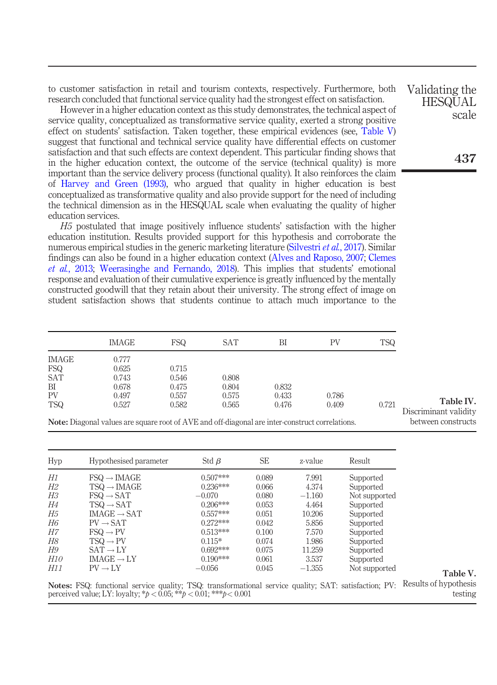to customer satisfaction in retail and tourism contexts, respectively. Furthermore, both research concluded that functional service quality had the strongest effect on satisfaction.

However in a higher education context as this study demonstrates, the technical aspect of service quality, conceptualized as transformative service quality, exerted a strong positive effect on students' satisfaction. Taken together, these empirical evidences (see, Table V) suggest that functional and technical service quality have differential effects on customer satisfaction and that such effects are context dependent. This particular finding shows that in the higher education context, the outcome of the service (technical quality) is more important than the service delivery process (functional quality). It also reinforces the claim of Harvey and Green (1993), who argued that quality in higher education is best conceptualized as transformative quality and also provide support for the need of including the technical dimension as in the HESQUAL scale when evaluating the quality of higher education services.

*H5* postulated that image positively influence students' satisfaction with the higher education institution. Results provided support for this hypothesis and corroborate the numerous empirical studies in the generic marketing literature (Silvestri *et al.*, 2017). Similar findings can also be found in a higher education context (Alves and Raposo, 2007; Clemes *et al.*, 2013; Weerasinghe and Fernando, 2018). This implies that students' emotional response and evaluation of their cumulative experience is greatly influenced by the mentally constructed goodwill that they retain about their university. The strong effect of image on student satisfaction shows that students continue to attach much importance to the

|            | <b>IMAGE</b>                                                                                           | <b>FSQ</b> | <b>SAT</b> | BI    | PV    | <b>TSQ</b> |                                    |
|------------|--------------------------------------------------------------------------------------------------------|------------|------------|-------|-------|------------|------------------------------------|
| IMAGE      | 0.777                                                                                                  |            |            |       |       |            |                                    |
| FSQ        | 0.625                                                                                                  | 0.715      |            |       |       |            |                                    |
| <b>SAT</b> | 0.743                                                                                                  | 0.546      | 0.808      |       |       |            |                                    |
| BI         | 0.678                                                                                                  | 0.475      | 0.804      | 0.832 |       |            |                                    |
| <b>PV</b>  | 0.497                                                                                                  | 0.557      | 0.575      | 0.433 | 0.786 |            |                                    |
| <b>TSQ</b> | 0.527                                                                                                  | 0.582      | 0.565      | 0.476 | 0.409 | 0.721      | Table IV.<br>Discriminant validity |
|            | <b>Note:</b> Diagonal values are square root of AVE and off-diagonal are inter-construct correlations. |            |            |       |       |            | between constructs                 |

| Hyp        | Hypothesised parameter         | Std $\beta$ | <b>SE</b> | z-value  | Result        |
|------------|--------------------------------|-------------|-----------|----------|---------------|
| H1         | $FSQ \rightarrow \text{IMAGE}$ | $0.507***$  | 0.089     | 7.991    | Supported     |
| Н2         | $TSQ \rightarrow \text{IMAGE}$ | $0.236***$  | 0.066     | 4.374    | Supported     |
| ΗЗ         | $FSO \rightarrow SAT$          | $-0.070$    | 0.080     | $-1.160$ | Not supported |
| Н4         | $TSO \rightarrow SAT$          | $0.206***$  | 0.053     | 4.464    | Supported     |
| Н5         | $IMAGE \rightarrow SAT$        | $0.557***$  | 0.051     | 10.206   | Supported     |
| H6         | $PV \rightarrow SAT$           | $0.272***$  | 0.042     | 5.856    | Supported     |
| Н7         | $FSQ \rightarrow PV$           | $0.513***$  | 0.100     | 7.570    | Supported     |
| Н8         | $TSQ \rightarrow PV$           | $0.115*$    | 0.074     | 1.986    | Supported     |
| H9         | $SAT \rightarrow LY$           | $0.692***$  | 0.075     | 11.259   | Supported     |
| <i>H10</i> | $IMAGE \rightarrow LY$         | $0.190***$  | 0.061     | 3.537    | Supported     |
| H11        | $PV \rightarrow LY$            | $-0.056$    | 0.045     | $-1.355$ | Not supported |

Notes: FSQ: functional service quality; TSQ: transformational service quality; SAT: satisfaction; PV: Results of hypothesis testing perceived value; LY: loyalty; \**p* < 0.05; \*\**p* < 0.01; \*\*\**p*< 0.001

Validating the **HESQUAL** scale

437

Table V.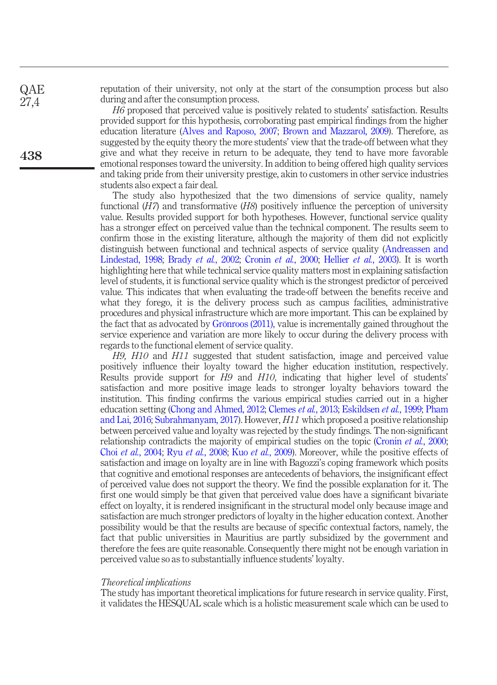reputation of their university, not only at the start of the consumption process but also during and after the consumption process.

*H6* proposed that perceived value is positively related to students' satisfaction. Results provided support for this hypothesis, corroborating past empirical findings from the higher education literature (Alves and Raposo, 2007; Brown and Mazzarol, 2009). Therefore, as suggested by the equity theory the more students' view that the trade-off between what they give and what they receive in return to be adequate, they tend to have more favorable emotional responses toward the university. In addition to being offered high quality services and taking pride from their university prestige, akin to customers in other service industries students also expect a fair deal.

The study also hypothesized that the two dimensions of service quality, namely functional (*H7*) and transformative (*H8*) positively influence the perception of university value. Results provided support for both hypotheses. However, functional service quality has a stronger effect on perceived value than the technical component. The results seem to confirm those in the existing literature, although the majority of them did not explicitly distinguish between functional and technical aspects of service quality (Andreassen and Lindestad, 1998; Brady *et al.*, 2002; Cronin *et al.*, 2000; Hellier *et al.*, 2003). It is worth highlighting here that while technical service quality matters most in explaining satisfaction level of students, it is functional service quality which is the strongest predictor of perceived value. This indicates that when evaluating the trade-off between the benefits receive and what they forego, it is the delivery process such as campus facilities, administrative procedures and physical infrastructure which are more important. This can be explained by the fact that as advocated by Grönroos (2011), value is incrementally gained throughout the service experience and variation are more likely to occur during the delivery process with regards to the functional element of service quality.

*H9, H10* and *H11* suggested that student satisfaction, image and perceived value positively influence their loyalty toward the higher education institution, respectively. Results provide support for *H9* and *H10*, indicating that higher level of students' satisfaction and more positive image leads to stronger loyalty behaviors toward the institution. This finding confirms the various empirical studies carried out in a higher education setting (Chong and Ahmed, 2012; Clemes *et al.*, 2013; Eskildsen *et al.*, 1999; Pham and Lai, 2016; Subrahmanyam, 2017). However, *H11* which proposed a positive relationship between perceived value and loyalty was rejected by the study findings. The non-significant relationship contradicts the majority of empirical studies on the topic (Cronin *et al.*, 2000; Choi *et al.*, 2004; Ryu *et al.*, 2008; Kuo *et al.*, 2009). Moreover, while the positive effects of satisfaction and image on loyalty are in line with Bagozzi's coping framework which posits that cognitive and emotional responses are antecedents of behaviors, the insignificant effect of perceived value does not support the theory. We find the possible explanation for it. The first one would simply be that given that perceived value does have a significant bivariate effect on loyalty, it is rendered insignificant in the structural model only because image and satisfaction are much stronger predictors of loyalty in the higher education context. Another possibility would be that the results are because of specific contextual factors, namely, the fact that public universities in Mauritius are partly subsidized by the government and therefore the fees are quite reasonable. Consequently there might not be enough variation in perceived value so as to substantially influence students' loyalty.

#### *Theoretical implications*

The study has important theoretical implications for future research in service quality. First, it validates the HESQUAL scale which is a holistic measurement scale which can be used to

438

**QAE** 27,4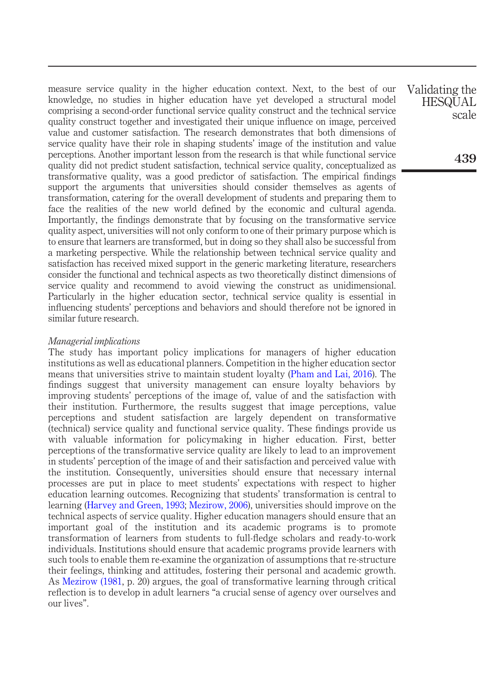measure service quality in the higher education context. Next, to the best of our knowledge, no studies in higher education have yet developed a structural model comprising a second-order functional service quality construct and the technical service quality construct together and investigated their unique influence on image, perceived value and customer satisfaction. The research demonstrates that both dimensions of service quality have their role in shaping students' image of the institution and value perceptions. Another important lesson from the research is that while functional service quality did not predict student satisfaction, technical service quality, conceptualized as transformative quality, was a good predictor of satisfaction. The empirical findings support the arguments that universities should consider themselves as agents of transformation, catering for the overall development of students and preparing them to face the realities of the new world defined by the economic and cultural agenda. Importantly, the findings demonstrate that by focusing on the transformative service quality aspect, universities will not only conform to one of their primary purpose which is to ensure that learners are transformed, but in doing so they shall also be successful from a marketing perspective. While the relationship between technical service quality and satisfaction has received mixed support in the generic marketing literature, researchers consider the functional and technical aspects as two theoretically distinct dimensions of service quality and recommend to avoid viewing the construct as unidimensional. Particularly in the higher education sector, technical service quality is essential in influencing students' perceptions and behaviors and should therefore not be ignored in similar future research.

#### *Managerial implications*

The study has important policy implications for managers of higher education institutions as well as educational planners. Competition in the higher education sector means that universities strive to maintain student loyalty (Pham and Lai, 2016). The findings suggest that university management can ensure loyalty behaviors by improving students' perceptions of the image of, value of and the satisfaction with their institution. Furthermore, the results suggest that image perceptions, value perceptions and student satisfaction are largely dependent on transformative (technical) service quality and functional service quality. These findings provide us with valuable information for policymaking in higher education. First, better perceptions of the transformative service quality are likely to lead to an improvement in students' perception of the image of and their satisfaction and perceived value with the institution. Consequently, universities should ensure that necessary internal processes are put in place to meet students' expectations with respect to higher education learning outcomes. Recognizing that students' transformation is central to learning (Harvey and Green, 1993; Mezirow, 2006), universities should improve on the technical aspects of service quality. Higher education managers should ensure that an important goal of the institution and its academic programs is to promote transformation of learners from students to full-fledge scholars and ready-to-work individuals. Institutions should ensure that academic programs provide learners with such tools to enable them re-examine the organization of assumptions that re-structure their feelings, thinking and attitudes, fostering their personal and academic growth. As Mezirow (1981, p. 20) argues, the goal of transformative learning through critical reflection is to develop in adult learners "a crucial sense of agency over ourselves and our lives".

Validating the **HESQUAL** scale

439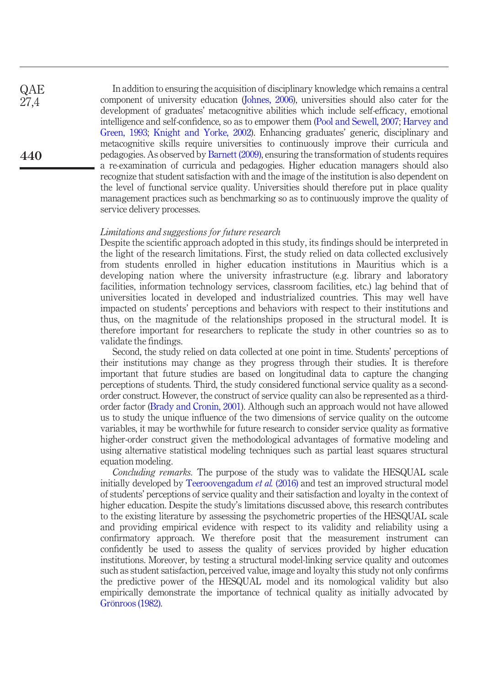In addition to ensuring the acquisition of disciplinary knowledge which remains a central component of university education (Johnes, 2006), universities should also cater for the development of graduates' metacognitive abilities which include self-efficacy, emotional intelligence and self-confidence, so as to empower them (Pool and Sewell, 2007; Harvey and Green, 1993; Knight and Yorke, 2002). Enhancing graduates' generic, disciplinary and metacognitive skills require universities to continuously improve their curricula and pedagogies. As observed by Barnett (2009), ensuring the transformation of students requires a re-examination of curricula and pedagogies. Higher education managers should also recognize that student satisfaction with and the image of the institution is also dependent on the level of functional service quality. Universities should therefore put in place quality management practices such as benchmarking so as to continuously improve the quality of service delivery processes.

#### *Limitations and suggestions for future research*

Despite the scientific approach adopted in this study, its findings should be interpreted in the light of the research limitations. First, the study relied on data collected exclusively from students enrolled in higher education institutions in Mauritius which is a developing nation where the university infrastructure (e.g. library and laboratory facilities, information technology services, classroom facilities, etc.) lag behind that of universities located in developed and industrialized countries. This may well have impacted on students' perceptions and behaviors with respect to their institutions and thus, on the magnitude of the relationships proposed in the structural model. It is therefore important for researchers to replicate the study in other countries so as to validate the findings.

Second, the study relied on data collected at one point in time. Students' perceptions of their institutions may change as they progress through their studies. It is therefore important that future studies are based on longitudinal data to capture the changing perceptions of students. Third, the study considered functional service quality as a secondorder construct. However, the construct of service quality can also be represented as a thirdorder factor (Brady and Cronin, 2001). Although such an approach would not have allowed us to study the unique influence of the two dimensions of service quality on the outcome variables, it may be worthwhile for future research to consider service quality as formative higher-order construct given the methodological advantages of formative modeling and using alternative statistical modeling techniques such as partial least squares structural equation modeling.

*Concluding remarks.* The purpose of the study was to validate the HESQUAL scale initially developed by Teeroovengadum *et al.* (2016) and test an improved structural model of students' perceptions of service quality and their satisfaction and loyalty in the context of higher education. Despite the study's limitations discussed above, this research contributes to the existing literature by assessing the psychometric properties of the HESQUAL scale and providing empirical evidence with respect to its validity and reliability using a confirmatory approach. We therefore posit that the measurement instrument can confidently be used to assess the quality of services provided by higher education institutions. Moreover, by testing a structural model-linking service quality and outcomes such as student satisfaction, perceived value, image and loyalty this study not only confirms the predictive power of the HESQUAL model and its nomological validity but also empirically demonstrate the importance of technical quality as initially advocated by Grönroos (1982).

**QAE** 27,4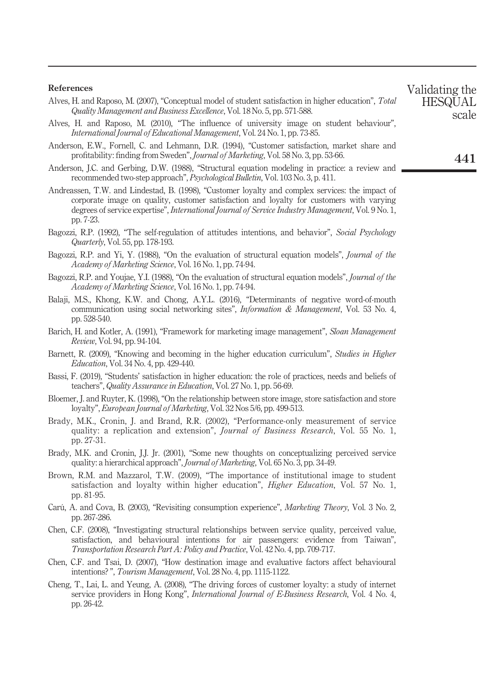#### References

- Alves, H. and Raposo, M. (2007), "Conceptual model of student satisfaction in higher education", *Total Quality Management and Business Excellence*, Vol. 18 No. 5, pp. 571-588.
- Alves, H. and Raposo, M. (2010), "The influence of university image on student behaviour", *International Journal of Educational Management*, Vol. 24 No. 1, pp. 73-85.
- Anderson, E.W., Fornell, C. and Lehmann, D.R. (1994), "Customer satisfaction, market share and profitability: finding from Sweden", *Journal of Marketing*, Vol. 58 No. 3, pp. 53-66.
- Anderson, J.C. and Gerbing, D.W. (1988), "Structural equation modeling in practice: a review and recommended two-step approach", *Psychological Bulletin*, Vol. 103 No. 3, p. 411.
- Andreassen, T.W. and Lindestad, B. (1998), "Customer loyalty and complex services: the impact of corporate image on quality, customer satisfaction and loyalty for customers with varying degrees of service expertise", *International Journal of Service Industry Management*, Vol. 9 No. 1, pp. 7-23.
- Bagozzi, R.P. (1992), "The self-regulation of attitudes intentions, and behavior", *Social Psychology Quarterly*, Vol. 55, pp. 178-193.
- Bagozzi, R.P. and Yi, Y. (1988), "On the evaluation of structural equation models", *Journal of the Academy of Marketing Science*, Vol. 16 No. 1, pp. 74-94.
- Bagozzi, R.P. and Youjae, Y.I. (1988), "On the evaluation of structural equation models", *Journal of the Academy of Marketing Science*, Vol. 16 No. 1, pp. 74-94.
- Balaji, M.S., Khong, K.W. and Chong, A.Y.L. (2016), "Determinants of negative word-of-mouth communication using social networking sites", *Information & Management*, Vol. 53 No. 4, pp. 528-540.
- Barich, H. and Kotler, A. (1991), "Framework for marketing image management", *Sloan Management Review*, Vol. 94, pp. 94-104.
- Barnett, R. (2009), "Knowing and becoming in the higher education curriculum", *Studies in Higher Education*, Vol. 34 No. 4, pp. 429-440.
- Bassi, F. (2019), "Students' satisfaction in higher education: the role of practices, needs and beliefs of teachers", *Quality Assurance in Education*, Vol. 27 No. 1, pp. 56-69.
- Bloemer, J. and Ruyter, K. (1998), "On the relationship between store image, store satisfaction and store loyalty", *European Journal of Marketing*, Vol. 32 Nos 5/6, pp. 499-513.
- Brady, M.K., Cronin, J. and Brand, R.R. (2002), "Performance-only measurement of service quality: a replication and extension", *Journal of Business Research*, Vol. 55 No. 1, pp. 27-31.
- Brady, M.K. and Cronin, J.J. Jr. (2001), "Some new thoughts on conceptualizing perceived service quality: a hierarchical approach", *Journal of Marketing*, Vol. 65 No. 3, pp. 34-49.
- Brown, R.M. and Mazzarol, T.W. (2009), "The importance of institutional image to student satisfaction and loyalty within higher education", *Higher Education*, Vol. 57 No. 1, pp. 81-95.
- Carú, A. and Cova, B. (2003), "Revisiting consumption experience", *Marketing Theory*, Vol. 3 No. 2, pp. 267-286.
- Chen, C.F. (2008), "Investigating structural relationships between service quality, perceived value, satisfaction, and behavioural intentions for air passengers: evidence from Taiwan", *Transportation Research Part A: Policy and Practice*, Vol. 42 No. 4, pp. 709-717.
- Chen, C.F. and Tsai, D. (2007), "How destination image and evaluative factors affect behavioural intentions? ", *Tourism Management*, Vol. 28 No. 4, pp. 1115-1122.
- Cheng, T., Lai, L. and Yeung, A. (2008), "The driving forces of customer loyalty: a study of internet service providers in Hong Kong", *International Journal of E-Business Research*, Vol. 4 No. 4, pp. 26-42.

Validating the **HESQUAL** scale

441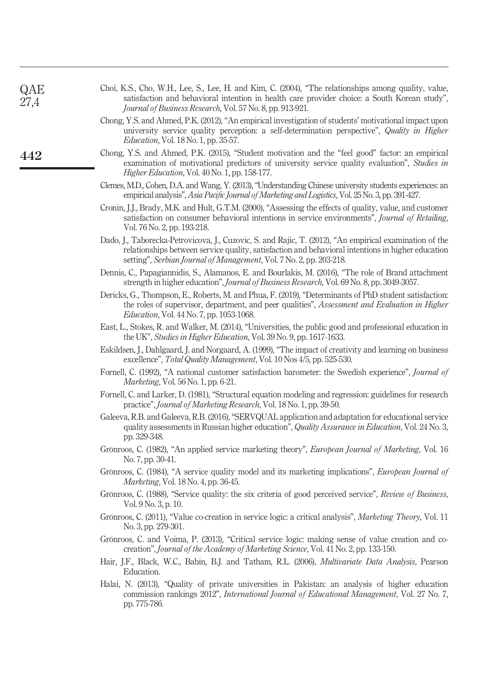| QAE<br>27,4 | Choi, K.S., Cho, W.H., Lee, S., Lee, H. and Kim, C. (2004), "The relationships among quality, value,<br>satisfaction and behavioral intention in health care provider choice: a South Korean study",<br>Journal of Business Research, Vol. 57 No. 8, pp. 913-921.                   |
|-------------|-------------------------------------------------------------------------------------------------------------------------------------------------------------------------------------------------------------------------------------------------------------------------------------|
|             | Chong, Y.S. and Ahmed, P.K. (2012), "An empirical investigation of students' motivational impact upon<br>university service quality perception: a self-determination perspective", Quality in Higher<br><i>Education, Vol.</i> 18 No. 1, pp. 35-57.                                 |
| 442         | Chong, Y.S. and Ahmed, P.K. (2015), "Student motivation and the "feel good" factor: an empirical<br>examination of motivational predictors of university service quality evaluation", Studies in<br>Higher Education, Vol. 40 No. 1, pp. 158-177.                                   |
|             | Clemes, M.D., Cohen, D.A. and Wang, Y. (2013), "Understanding Chinese university students experiences: an<br>empirical analysis", Asia Pacific Journal of Marketing and Logistics, Vol. 25 No. 3, pp. 391-427.                                                                      |
|             | Cronin, J.J., Brady, M.K. and Hult, G.T.M. (2000), "Assessing the effects of quality, value, and customer<br>satisfaction on consumer behavioral intentions in service environments", Journal of Retailing,<br>Vol. 76 No. 2, pp. 193-218.                                          |
|             | Dado, J., Taborecka-Petrovicova, J., Cuzovic, S. and Rajic, T. (2012), "An empirical examination of the<br>relationships between service quality, satisfaction and behavioral intentions in higher education<br>setting", Serbian Journal of Management, Vol. 7 No. 2, pp. 203-218. |
|             | Dennis, C., Papagiannidis, S., Alamanos, E. and Bourlakis, M. (2016), "The role of Brand attachment<br>strength in higher education", Journal of Business Research, Vol. 69 No. 8, pp. 3049-3057.                                                                                   |
|             | Dericks, G., Thompson, E., Roberts, M. and Phua, F. (2019), "Determinants of PhD student satisfaction:<br>the roles of supervisor, department, and peer qualities", Assessment and Evaluation in Higher<br><i>Education</i> , Vol. 44 No. 7, pp. 1053-1068.                         |
|             | East, L., Stokes, R. and Walker, M. (2014), "Universities, the public good and professional education in<br>the UK", Studies in Higher Education, Vol. 39 No. 9, pp. 1617-1633.                                                                                                     |
|             | Eskildsen, J., Dahlgaard, J. and Norgaard, A. (1999), "The impact of creativity and learning on business<br>excellence", <i>Total Quality Management</i> , Vol. 10 Nos 4/5, pp. 525-530.                                                                                            |
|             | Fornell, C. (1992), "A national customer satisfaction barometer: the Swedish experience", Journal of<br><i>Marketing</i> , Vol. 56 No. 1, pp. 6-21.                                                                                                                                 |
|             | Fornell, C. and Larker, D. (1981), "Structural equation modeling and regression: guidelines for research<br>practice", Journal of Marketing Research, Vol. 18 No. 1, pp. 39-50.                                                                                                     |
|             | Galeeva, R.B. and Galeeva, R.B. (2016), "SERVQUAL application and adaptation for educational service<br>quality assessments in Russian higher education", Quality Assurance in Education, Vol. 24 No. 3,<br>pp. 329-348.                                                            |
|             | Grönroos, C. (1982), "An applied service marketing theory", European Journal of Marketing, Vol. 16<br>No. 7, pp. 30-41.                                                                                                                                                             |
|             | Grönroos, C. (1984), "A service quality model and its marketing implications", <i>European Journal of</i><br>Marketing, Vol. 18 No. 4, pp. 36-45.                                                                                                                                   |
|             | Grönroos, C. (1988), "Service quality: the six criteria of good perceived service", Review of Business,<br>Vol. 9 No. 3, p. 10.                                                                                                                                                     |
|             | Grönroos, C. (2011), "Value co-creation in service logic: a critical analysis", <i>Marketing Theory</i> , Vol. 11<br>No. 3, pp. 279-301.                                                                                                                                            |
|             | Grönroos, C. and Voima, P. (2013), "Critical service logic: making sense of value creation and co-<br>creation", Journal of the Academy of Marketing Science, Vol. 41 No. 2, pp. 133-150.                                                                                           |
|             | Hair, J.F., Black, W.C., Babin, B.J. and Tatham, R.L. (2006), <i>Multivariate Data Analysis</i> , Pearson<br>Education.                                                                                                                                                             |
|             | Halai, N. (2013), "Quality of private universities in Pakistan: an analysis of higher education<br>commission rankings 2012", <i>International Journal of Educational Management</i> , Vol. 27 No. 7,<br>pp. 775-786.                                                               |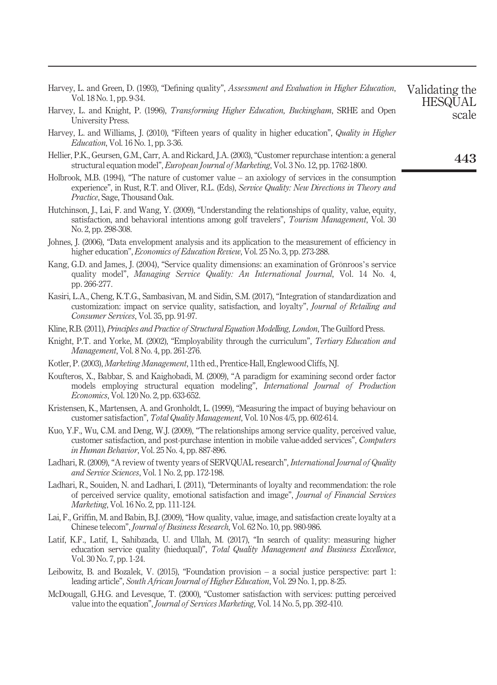| Harvey, L. and Green, D. (1993), "Defining quality", Assessment and Evaluation in Higher Education, Validating the |  |  |                |
|--------------------------------------------------------------------------------------------------------------------|--|--|----------------|
| Vol. 18 No. 1, pp. 9-34.                                                                                           |  |  | <b>HESOUAL</b> |

- Harvey, L. and Knight, P. (1996), *Transforming Higher Education, Buckingham*, SRHE and Open University Press.
- Harvey, L. and Williams, J. (2010), "Fifteen years of quality in higher education", *Quality in Higher Education*, Vol. 16 No. 1, pp. 3-36.
- Hellier, P.K., Geursen, G.M., Carr, A. and Rickard, J.A. (2003), "Customer repurchase intention: a general structural equation model", *European Journal of Marketing*, Vol. 3 No. 12, pp. 1762-1800.
- Holbrook, M.B. (1994), "The nature of customer value an axiology of services in the consumption experience", in Rust, R.T. and Oliver, R.L. (Eds), *Service Quality: New Directions in Theory and Practice*, Sage, Thousand Oak.
- Hutchinson, J., Lai, F. and Wang, Y. (2009), "Understanding the relationships of quality, value, equity, satisfaction, and behavioral intentions among golf travelers", *Tourism Management*, Vol. 30 No. 2, pp. 298-308.
- Johnes, J. (2006), "Data envelopment analysis and its application to the measurement of efficiency in higher education", *Economics of Education Review*, Vol. 25 No. 3, pp. 273-288.
- Kang, G.D. and James, J. (2004), "Service quality dimensions: an examination of Grönroos's service quality model", *Managing Service Quality: An International Journal*, Vol. 14 No. 4, pp. 266-277.
- Kasiri, L.A., Cheng, K.T.G., Sambasivan, M. and Sidin, S.M. (2017), "Integration of standardization and customization: impact on service quality, satisfaction, and loyalty", *Journal of Retailing and Consumer Services*, Vol. 35, pp. 91-97.
- Kline, R.B. (2011), *Principles and Practice of Structural Equation Modelling, London*, The Guilford Press.
- Knight, P.T. and Yorke, M. (2002), "Employability through the curriculum", *Tertiary Education and Management*, Vol. 8 No. 4, pp. 261-276.
- Kotler, P. (2003), *Marketing Management*, 11th ed., Prentice-Hall, Englewood Cliffs, NJ.
- Koufteros, X., Babbar, S. and Kaighobadi, M. (2009), "A paradigm for examining second order factor models employing structural equation modeling", *International Journal of Production Economics*, Vol. 120 No. 2, pp. 633-652.
- Kristensen, K., Martensen, A. and Gronholdt, L. (1999), "Measuring the impact of buying behaviour on customer satisfaction", *Total Quality Management*, Vol. 10 Nos 4/5, pp. 602-614.
- Kuo, Y.F., Wu, C.M. and Deng, W.J. (2009), "The relationships among service quality, perceived value, customer satisfaction, and post-purchase intention in mobile value-added services", *Computers in Human Behavior*, Vol. 25 No. 4, pp. 887-896.
- Ladhari, R. (2009), "A review of twenty years of SERVQUAL research", *International Journal of Quality and Service Sciences*, Vol. 1 No. 2, pp. 172-198.
- Ladhari, R., Souiden, N. and Ladhari, I. (2011), "Determinants of loyalty and recommendation: the role of perceived service quality, emotional satisfaction and image", *Journal of Financial Services Marketing*, Vol. 16 No. 2, pp. 111-124.
- Lai, F., Griffin, M. and Babin, B.J. (2009), "How quality, value, image, and satisfaction create loyalty at a Chinese telecom", *Journal of Business Research*, Vol. 62 No. 10, pp. 980-986.
- Latif, K.F., Latif, I., Sahibzada, U. and Ullah, M. (2017), "In search of quality: measuring higher education service quality (hieduqual)", *Total Quality Management and Business Excellence*, Vol. 30 No. 7, pp. 1-24.
- Leibowitz, B. and Bozalek, V. (2015), "Foundation provision a social justice perspective: part 1: leading article", *South African Journal of Higher Education*, Vol. 29 No. 1, pp. 8-25.
- McDougall, G.H.G. and Levesque, T. (2000), "Customer satisfaction with services: putting perceived value into the equation", *Journal of Services Marketing*, Vol. 14 No. 5, pp. 392-410.

443

**HESQUAL** scale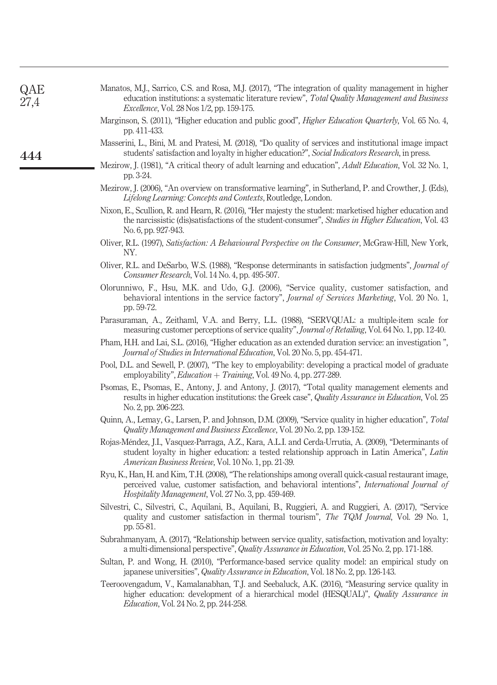| QAE<br>27,4 | Manatos, M.J., Sarrico, C.S. and Rosa, M.J. (2017), "The integration of quality management in higher<br>education institutions: a systematic literature review", Total Quality Management and Business<br><i>Excellence</i> , Vol. 28 Nos 1/2, pp. 159-175.   |
|-------------|---------------------------------------------------------------------------------------------------------------------------------------------------------------------------------------------------------------------------------------------------------------|
|             | Marginson, S. (2011), "Higher education and public good", Higher Education Quarterly, Vol. 65 No. 4,<br>pp. 411-433.                                                                                                                                          |
| 444         | Masserini, L., Bini, M. and Pratesi, M. (2018), "Do quality of services and institutional image impact<br>students' satisfaction and loyalty in higher education?", Social Indicators Research, in press.                                                     |
|             | Mezirow, J. (1981), "A critical theory of adult learning and education", <i>Adult Education</i> , Vol. 32 No. 1,<br>pp. 3-24.                                                                                                                                 |
|             | Mezirow, J. (2006), "An overview on transformative learning", in Sutherland, P. and Crowther, J. (Eds),<br>Lifelong Learning: Concepts and Contexts, Routledge, London.                                                                                       |
|             | Nixon, E., Scullion, R. and Hearn, R. (2016), "Her majesty the student: marketised higher education and<br>the narcissistic (dis)satisfactions of the student-consumer", Studies in Higher Education, Vol. 43<br>No. 6, pp. 927-943.                          |
|             | Oliver, R.L. (1997), Satisfaction: A Behavioural Perspective on the Consumer, McGraw-Hill, New York,<br>NY.                                                                                                                                                   |
|             | Oliver, R.L. and DeSarbo, W.S. (1988), "Response determinants in satisfaction judgments", <i>Journal of</i><br>Consumer Research, Vol. 14 No. 4, pp. 495-507.                                                                                                 |
|             | Olorunniwo, F., Hsu, M.K. and Udo, G.J. (2006), "Service quality, customer satisfaction, and<br>behavioral intentions in the service factory", Journal of Services Marketing, Vol. 20 No. 1,<br>pp. 59-72.                                                    |
|             | Parasuraman, A., Zeithaml, V.A. and Berry, L.L. (1988), "SERVQUAL: a multiple-item scale for<br>measuring customer perceptions of service quality", Journal of Retailing, Vol. 64 No. 1, pp. 12-40.                                                           |
|             | Pham, H.H. and Lai, S.L. (2016), "Higher education as an extended duration service: an investigation",<br>Journal of Studies in International Education, Vol. 20 No. 5, pp. 454-471.                                                                          |
|             | Pool, D.L. and Sewell, P. (2007), "The key to employability: developing a practical model of graduate<br>employability", <i>Education</i> + <i>Training</i> , Vol. 49 No. 4, pp. 277-289.                                                                     |
|             | Psomas, E., Psomas, E., Antony, J. and Antony, J. (2017), "Total quality management elements and<br>results in higher education institutions: the Greek case", Quality Assurance in Education, Vol. 25<br>No. 2, pp. 206-223.                                 |
|             | Quinn, A., Lemay, G., Larsen, P. and Johnson, D.M. (2009), "Service quality in higher education", Total<br>Quality Management and Business Excellence, Vol. 20 No. 2, pp. 139-152.                                                                            |
|             | Rojas-Méndez, J.I., Vasquez-Parraga, A.Z., Kara, A.L.I. and Cerda-Urrutia, A. (2009), "Determinants of<br>student loyalty in higher education: a tested relationship approach in Latin America", Latin<br>American Business Review, Vol. 10 No. 1, pp. 21-39. |
|             | Ryu, K., Han, H. and Kim, T.H. (2008), "The relationships among overall quick-casual restaurant image,<br>perceived value, customer satisfaction, and behavioral intentions", International Journal of<br>Hospitality Management, Vol. 27 No. 3, pp. 459-469. |
|             | Silvestri, C., Silvestri, C., Aquilani, B., Aquilani, B., Ruggieri, A. and Ruggieri, A. (2017), "Service<br>quality and customer satisfaction in thermal tourism", <i>The TQM Journal</i> , Vol. 29 No. 1,<br>pp. 55-81.                                      |
|             | Subrahmanyam, A. (2017), "Relationship between service quality, satisfaction, motivation and loyalty:<br>a multi-dimensional perspective", Quality Assurance in Education, Vol. 25 No. 2, pp. 171-188.                                                        |
|             | Sultan, P. and Wong, H. (2010), "Performance-based service quality model: an empirical study on<br>japanese universities", Quality Assurance in Education, Vol. 18 No. 2, pp. 126-143.                                                                        |
|             | Teeroovengadum, V., Kamalanabhan, T.J. and Seebaluck, A.K. (2016), "Measuring service quality in<br>higher education: development of a hierarchical model (HESQUAL)", Quality Assurance in<br><i>Education, Vol. 24 No. 2, pp. 244-258.</i>                   |
|             |                                                                                                                                                                                                                                                               |